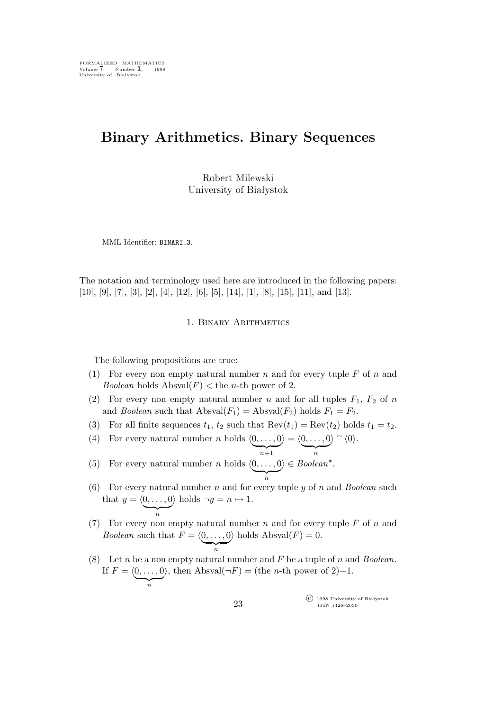# **Binary Arithmetics. Binary Sequences**

Robert Milewski University of Białystok

MML Identifier: BINARI 3.

The notation and terminology used here are introduced in the following papers: [10], [9], [7], [3], [2], [4], [12], [6], [5], [14], [1], [8], [15], [11], and [13].

## 1. Binary Arithmetics

The following propositions are true:

- (1) For every non empty natural number n and for every tuple  $F$  of n and *Boolean* holds  $\text{Absval}(F) < \text{the } n\text{-th power of } 2$ .
- (2) For every non empty natural number n and for all tuples  $F_1$ ,  $F_2$  of n and *Boolean* such that  $\text{Absval}(F_1) = \text{Absval}(F_2)$  holds  $F_1 = F_2$ .
- (3) For all finite sequences  $t_1$ ,  $t_2$  such that  $\text{Rev}(t_1) = \text{Rev}(t_2)$  holds  $t_1 = t_2$ .
- (4) For every natural number *n* holds  $\langle 0, \ldots, 0 \rangle$   $\longrightarrow n+1$  $\rangle = \langle \underbrace{0,\ldots,0}_n \rangle$  $\rangle \cap \langle 0 \rangle$ .
- (5) For every natural number *n* holds  $\langle 0, \ldots, 0 \rangle$ *i ∈ Boolean<sup>∗</sup>* .
- (6) For every natural number n and for every tuple y of n and *Boolean* such that  $y = \langle 0, \ldots, 0 \rangle$  holds  $\neg y = n \mapsto 1$ . n
- (7) For every non empty natural number  $n$  and for every tuple  $F$  of  $n$  and *Boolean* such that  $F = \langle 0, \ldots, 0 \rangle$  holds Absval $(F) = 0$ . n
- (8) Let n be a non empty natural number and F be a tuple of n and *Boolean*. If  $F = \langle 0, \ldots, 0 \rangle$ *i*, then Absval(*¬*F) = (the n-th power of 2)*−*1.

°c 1998 University of Białystok ISSN 1426–2630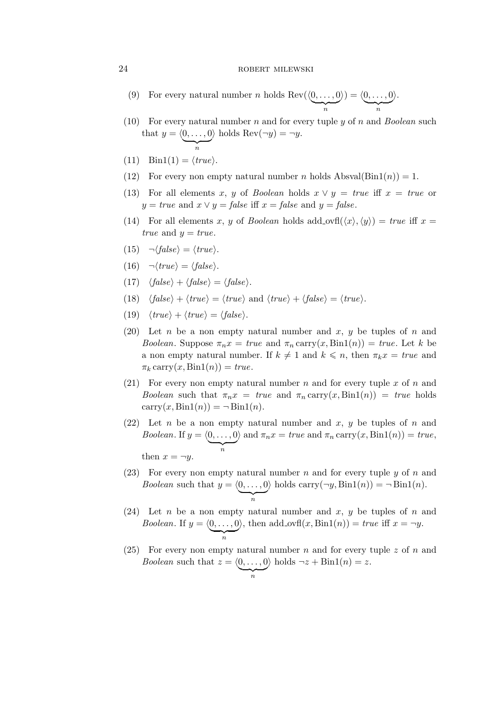## 24 ROBERT MILEWSKI

- (9) For every natural number *n* holds  $\text{Rev}(\underbrace{\langle 0, \ldots, 0 \rangle}_{n})$  $\langle 0, \ldots, 0 \rangle = \langle 0, \ldots, 0 \rangle$ *i*.
- (10) For every natural number n and for every tuple y of n and *Boolean* such that  $y = \langle \underbrace{0, \ldots, 0}_{n} \rangle$  $\angle$  holds Rev( $\neg y$ ) =  $\neg y$ .
- $(11)$  Bin1 $(1) = \langle true \rangle$ .
- (12) For every non empty natural number n holds  $\text{Absval}(\text{Bin1}(n)) = 1$ .
- (13) For all elements x, y of *Boolean* holds  $x \vee y = true$  iff  $x = true$  or  $y = true$  and  $x \vee y = false$  iff  $x = false$  and  $y = false$ .
- (14) For all elements x, y of *Boolean* holds add ovfl $(\langle x \rangle, \langle y \rangle) = true$  iff x = *true* and  $y = true$ .

$$
(15) \quad \neg \langle false \rangle = \langle true \rangle.
$$

- $(16)$   $\neg$ *(true*) = *{false}*.
- $(17)$   $\langle false \rangle + \langle false \rangle = \langle false \rangle$ .
- (18)  $\langle false \rangle + \langle true \rangle = \langle true \rangle$  and  $\langle true \rangle + \langle false \rangle = \langle true \rangle$ .
- $(t_{\text{true}} + \langle \text{true} \rangle = \langle \text{false} \rangle$ .
- (20) Let n be a non empty natural number and x, y be tuples of n and *Boolean*. Suppose  $\pi_n x = true$  and  $\pi_n \text{carry}(x, \text{Bin1}(n)) = true$ . Let k be a non empty natural number. If  $k \neq 1$  and  $k \leq n$ , then  $\pi_k x = true$  and  $\pi_k$  carry(x, Bin1(n)) = true.
- (21) For every non empty natural number n and for every tuple x of n and *Boolean* such that  $\pi_n x = true$  and  $\pi_n \text{carry}(x, \text{Bin1}(n)) = true$  holds carry $(x, \text{Bin}(n)) = \neg \text{Bin}(n)$ .
- (22) Let n be a non empty natural number and x, y be tuples of n and *Boolean.* If  $y = \langle \underbrace{0, \ldots, 0}_{n} \rangle$ *i* and  $\pi_n x = true$  and  $\pi_n \operatorname{carry}(x, \text{Bin1}(n)) = true$ , then  $x = \neg y$ .
- (23) For every non empty natural number n and for every tuple y of n and *Boolean* such that  $y = \langle 0, \ldots, 0 \rangle$ *i* holds carry $(\neg y, \text{Bin1}(n)) = \neg \text{Bin1}(n)$ .
- (24) Let n be a non empty natural number and x, y be tuples of n and *Boolean.* If  $y = \langle 0, \ldots, 0 \rangle$  $\lambda$ , then add\_ovfl(x, Bin1(n)) = *true* iff  $x = \neg y$ .
- (25) For every non empty natural number n and for every tuple z of n and *Boolean* such that  $z = \langle 0, \ldots, 0 \rangle$ *i* holds  $\neg z + \text{Bin1}(n) = z$ .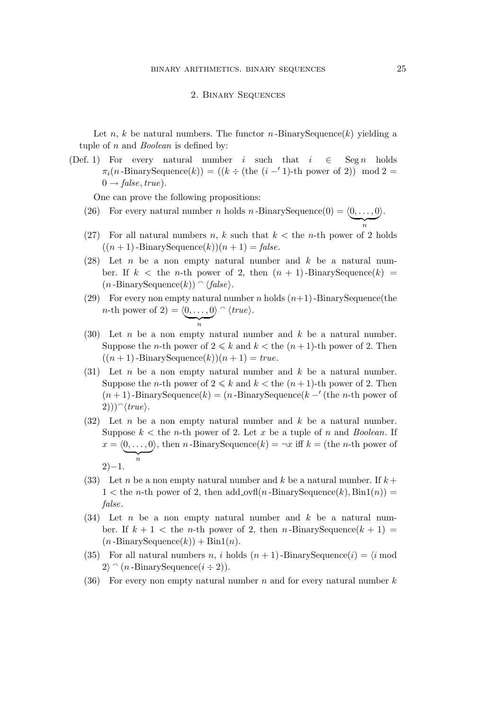#### 2. Binary Sequences

Let n, k be natural numbers. The functor n-BinarySequence(k) yielding a tuple of n and *Boolean* is defined by:

(Def. 1) For every natural number i such that  $i \in \text{Seg } n$  holds  $\pi_i(n\text{-BinarySequence}(k)) = ((k \div (\text{the } (i - 1)\text{-th power of 2})) \mod 2 =$  $0 \rightarrow false, true$ ).

One can prove the following propositions:

- (26) For every natural number *n* holds *n*-BinarySequence(0) =  $\langle 0, \ldots, 0 \rangle$ *i*.
- (27) For all natural numbers n, k such that  $k <$  the n-th power of 2 holds  $((n + 1)$ -BinarySequence $(k))(n + 1) = false$ .
- (28) Let *n* be a non empty natural number and  $k$  be a natural number. If  $k <$  the *n*-th power of 2, then  $(n + 1)$ -BinarySequence(k) =  $(n - \text{BinarySequence}(k)) \cap \langle false \rangle$ .
- (29) For every non empty natural number n holds  $(n+1)$ -BinarySequence(the *n*-th power of 2) =  $\langle 0, \ldots, 0 \rangle \cap \langle true \rangle$ . n
- (30) Let n be a non empty natural number and  $k$  be a natural number. Suppose the *n*-th power of  $2 \le k$  and  $k <$  the  $(n+1)$ -th power of 2. Then  $((n + 1)$ -BinarySequence $(k))(n + 1) = true$ .
- (31) Let n be a non empty natural number and  $k$  be a natural number. Suppose the *n*-th power of  $2 \le k$  and  $k <$  the  $(n+1)$ -th power of 2. Then (n + 1)-BinarySequence(k) = (n -BinarySequence(k *−′* (the n-th power of  $(2))$ <sup> $\(\tau we)$ </sup>.
- (32) Let n be a non empty natural number and  $k$  be a natural number. Suppose  $k <$  the *n*-th power of 2. Let x be a tuple of n and *Boolean*. If  $x = \langle \underbrace{0, \ldots, 0}_{n} \rangle$  $\lambda$ , then *n*-BinarySequence(*k*) =  $\neg x$  iff *k* = (the *n*-th power of 2)*−*1.
- (33) Let n be a non empty natural number and k be a natural number. If  $k +$  $1 <$  the *n*-th power of 2, then add\_ovfl(*n*-BinarySequence(*k*), Bin1(*n*)) = *false*.
- $(34)$  Let *n* be a non empty natural number and *k* be a natural number. If  $k + 1 <$  the *n*-th power of 2, then *n*-BinarySequence $(k + 1) =$  $(n\text{-BinarySequence}(k)) + \text{Bin1}(n).$
- (35) For all natural numbers n, i holds  $(n + 1)$ -BinarySequence(i) =  $\langle i \text{ mod } n \rangle$  $2\rangle \cap (n\text{-BinarySequence}(i \div 2)).$
- (36) For every non empty natural number n and for every natural number  $k$